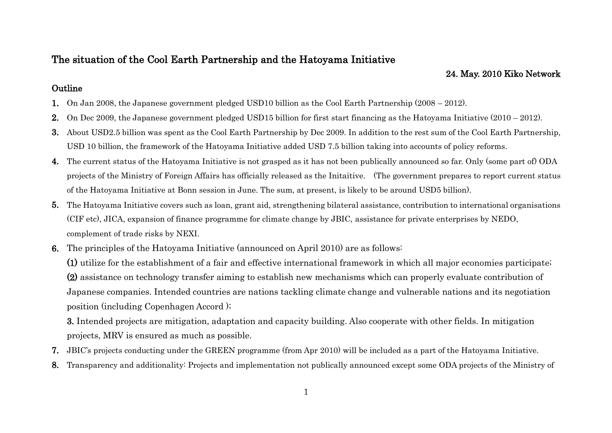### The situation of the Cool Earth Partnership and the Hatoyama Initiative

### 24. May. 2010 Kiko Network

### **Outline**

- 1. On Jan 2008, the Japanese government pledged USD10 billion as the Cool Earth Partnership (2008 2012).
- 2. On Dec 2009, the Japanese government pledged USD15 billion for first start financing as the Hatoyama Initiative (2010 2012).
- 3. About USD2.5 billion was spent as the Cool Earth Partnership by Dec 2009. In addition to the rest sum of the Cool Earth Partnership, USD 10 billion, the framework of the Hatoyama Initiative added USD 7.5 billion taking into accounts of policy reforms.
- 4. The current status of the Hatoyama Initiative is not grasped as it has not been publically announced so far. Only (some part of) ODA projects of the Ministry of Foreign Affairs has officially released as the Initaitive. (The government prepares to report current status of the Hatoyama Initiative at Bonn session in June. The sum, at present, is likely to be around USD5 billion).
- 5. The Hatoyama Initiative covers such as loan, grant aid, strengthening bilateral assistance, contribution to international organisations (CIF etc), JICA, expansion of finance programme for climate change by JBIC, assistance for private enterprises by NEDO, complement of trade risks by NEXI.
- 6. The principles of the Hatoyama Initiative (announced on April 2010) are as follows:

(1) utilize for the establishment of a fair and effective international framework in which all major economies participate; (2) assistance on technology transfer aiming to establish new mechanisms which can properly evaluate contribution of Japanese companies. Intended countries are nations tackling climate change and vulnerable nations and its negotiation position (including Copenhagen Accord );

3. Intended projects are mitigation, adaptation and capacity building. Also cooperate with other fields. In mitigation projects, MRV is ensured as much as possible.

- 7. JBIC"s projects conducting under the GREEN programme (from Apr 2010) will be included as a part of the Hatoyama Initiative.
- 8. Transparency and additionality: Projects and implementation not publically announced except some ODA projects of the Ministry of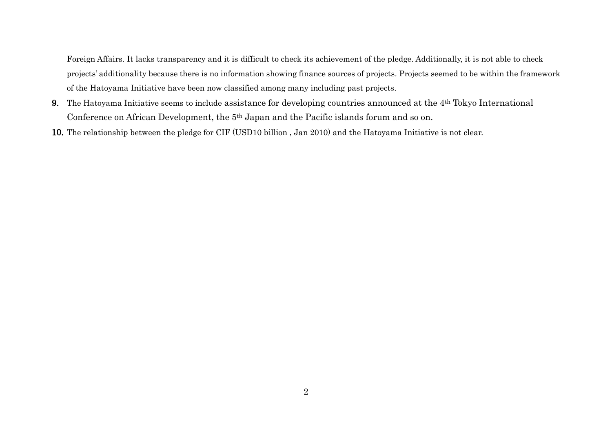Foreign Affairs. It lacks transparency and it is difficult to check its achievement of the pledge. Additionally, it is not able to check projects" additionality because there is no information showing finance sources of projects. Projects seemed to be within the framework of the Hatoyama Initiative have been now classified among many including past projects.

- 9. The Hatoyama Initiative seems to include assistance for developing countries announced at the 4th Tokyo International Conference on African Development, the 5<sup>th</sup> Japan and the Pacific islands forum and so on.
- 10. The relationship between the pledge for CIF (USD10 billion , Jan 2010) and the Hatoyama Initiative is not clear.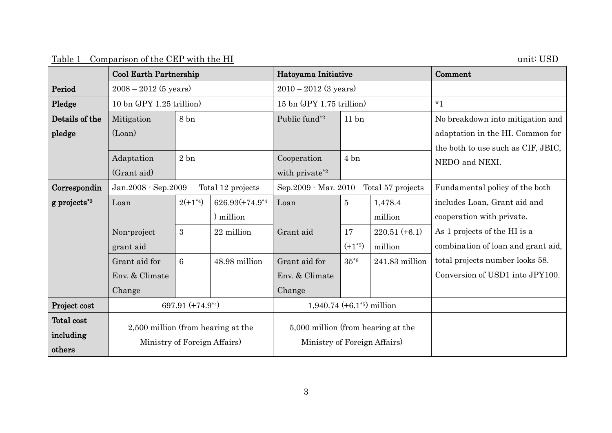| Table 1 Comparison of the CEP with the HI |  | unit: USD |
|-------------------------------------------|--|-----------|
|-------------------------------------------|--|-----------|

|                | <b>Cool Earth Partnership</b>            |              |                | Hatoyama Initiative                |                  |                   | Comment                            |
|----------------|------------------------------------------|--------------|----------------|------------------------------------|------------------|-------------------|------------------------------------|
| Period         | $2008 - 2012$ (5 years)                  |              |                | $2010 - 2012$ (3 years)            |                  |                   |                                    |
| Pledge         | 10 bn (JPY 1.25 trillion)                |              |                | 15 bn (JPY 1.75 trillion)          |                  |                   | $*1$                               |
| Details of the | Mitigation                               | 8 bn         |                | Public fund*2                      | 11 <sub>bn</sub> |                   | No breakdown into mitigation and   |
| pledge         | (Loan)                                   |              |                |                                    |                  |                   | adaptation in the HI. Common for   |
|                |                                          |              |                |                                    |                  |                   | the both to use such as CIF, JBIC, |
|                | Adaptation                               | 2bn          |                | Cooperation                        | 4 bn             |                   | NEDO and NEXI.                     |
|                | (Grant aid)                              |              |                | with private <sup>*2</sup>         |                  |                   |                                    |
| Correspondin   | Jan.2008 - Sep.2009<br>Total 12 projects |              |                | Sep. 2009 - Mar. 2010              |                  | Total 57 projects | Fundamental policy of the both     |
| g projects*3   | Loan                                     | $2(+1^{*4})$ | 626.93(+74.9*4 | Loan                               | $\overline{5}$   | 1,478.4           | includes Loan, Grant aid and       |
|                |                                          |              | million        |                                    |                  | million           | cooperation with private.          |
|                | Non-project                              | 3            | 22 million     | Grant aid                          | 17               | $220.51 (+6.1)$   | As 1 projects of the HI is a       |
|                | grant aid                                |              |                |                                    | $(+1^{*5})$      | million           | combination of loan and grant aid, |
|                | Grant aid for                            | 6            | 48.98 million  | Grant aid for                      | $35*6$           | 241.83 million    | total projects number looks 58.    |
|                | Env. & Climate                           |              |                | Env. & Climate                     |                  |                   | Conversion of USD1 into JPY100.    |
|                | Change                                   |              |                | Change                             |                  |                   |                                    |
| Project cost   | 697.91 (+74.9*4)                         |              |                | $1,940.74 (+6.1^{*5})$ million     |                  |                   |                                    |
| Total cost     |                                          |              |                |                                    |                  |                   |                                    |
| including      | 2,500 million (from hearing at the       |              |                | 5,000 million (from hearing at the |                  |                   |                                    |
| others         | Ministry of Foreign Affairs)             |              |                | Ministry of Foreign Affairs)       |                  |                   |                                    |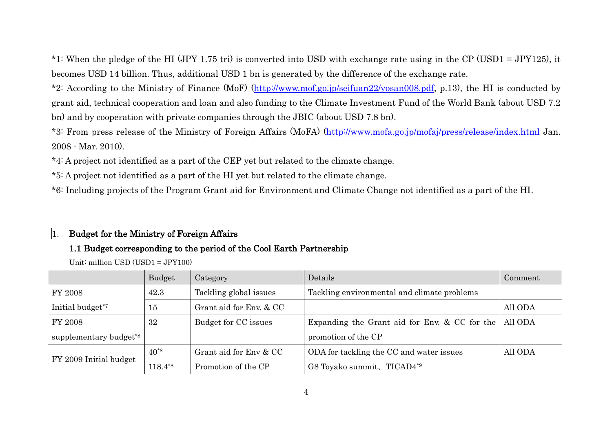\*1: When the pledge of the HI (JPY 1.75 tri) is converted into USD with exchange rate using in the CP (USD1 = JPY125), it becomes USD 14 billion. Thus, additional USD 1 bn is generated by the difference of the exchange rate.

\*2: According to the Ministry of Finance (MoF) [\(http://www.mof.go.jp/seifuan22/yosan008.pdf,](http://www.mof.go.jp/seifuan22/yosan008.pdf) p.13), the HI is conducted by grant aid, technical cooperation and loan and also funding to the Climate Investment Fund of the World Bank (about USD 7.2 bn) and by cooperation with private companies through the JBIC (about USD 7.8 bn).

\*3: From press release of the Ministry of Foreign Affairs (MoFA) [\(http://www.mofa.go.jp/mofaj/press/release/index.html](http://www.mofa.go.jp/mofaj/press/release/index.html) Jan. 2008 - Mar. 2010).

\*4: A project not identified as a part of the CEP yet but related to the climate change.

\*5: A project not identified as a part of the HI yet but related to the climate change.

\*6: Including projects of the Program Grant aid for Environment and Climate Change not identified as a part of the HI.

### 1. Budget for the Ministry of Foreign Affairs

### 1.1 Budget corresponding to the period of the Cool Earth Partnership

Unit: million USD (USD1 = JPY100)

|                                    | Budget       | Category                | Details                                         | Comment |
|------------------------------------|--------------|-------------------------|-------------------------------------------------|---------|
| FY 2008                            | 42.3         | Tackling global issues  | Tackling environmental and climate problems     |         |
| Initial budget <sup>*7</sup>       | 15           | Grant aid for Env. & CC |                                                 | All ODA |
| FY 2008                            | 32           | Budget for CC issues    | Expanding the Grant aid for Env. $& CC$ for the | All ODA |
| supplementary budget <sup>*8</sup> |              |                         | promotion of the CP                             |         |
| FY 2009 Initial budget             | $40^{*8}$    | Grant aid for Env & CC  | ODA for tackling the CC and water issues        | All ODA |
|                                    | $118.4^{*8}$ | Promotion of the CP     | G8 Toyako summit, TICAD4*9                      |         |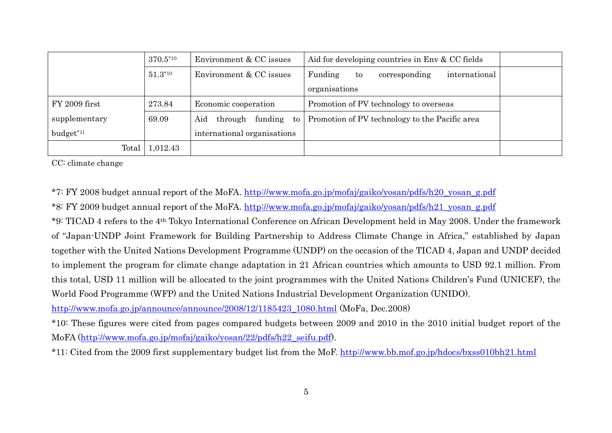|                       | $370.5*10$<br>Environment & CC issues |                             | Aid for developing countries in Env & CC fields |  |
|-----------------------|---------------------------------------|-----------------------------|-------------------------------------------------|--|
|                       | $51.3*10$                             | Environment & CC issues     | Funding<br>international<br>corresponding<br>to |  |
|                       |                                       |                             | organisations                                   |  |
| FY 2009 first         | 273.84                                | Economic cooperation        | Promotion of PV technology to overseas          |  |
| supplementary         | 69.09                                 | Aid<br>through funding to   | Promotion of PV technology to the Pacific area  |  |
| budget* <sup>11</sup> |                                       | international organisations |                                                 |  |
| Total                 | 1,012.43                              |                             |                                                 |  |

CC: climate change

\*7: FY 2008 budget annual report of the MoFA. [http://www.mofa.go.jp/mofaj/gaiko/yosan/pdfs/h20\\_yosan\\_g.pdf](http://www.mofa.go.jp/mofaj/gaiko/yosan/pdfs/h20_yosan_g.pdf)

\*8: FY 2009 budget annual report of the MoFA. [http://www.mofa.go.jp/mofaj/gaiko/yosan/pdfs/h21\\_yosan\\_g.pdf](http://www.mofa.go.jp/mofaj/gaiko/yosan/pdfs/h21_yosan_g.pdf)

\*9: TICAD 4 refers to the 4th Tokyo International Conference on African Development held in May 2008. Under the framework of "Japan-UNDP Joint Framework for Building Partnership to Address Climate Change in Africa," established by Japan together with the United Nations Development Programme (UNDP) on the occasion of the TICAD 4, Japan and UNDP decided to implement the program for climate change adaptation in 21 African countries which amounts to USD 92.1 million. From this total, USD 11 million will be allocated to the joint programmes with the United Nations Children"s Fund (UNICEF), the World Food Programme (WFP) and the United Nations Industrial Development Organization (UNIDO).

[http://www.mofa.go.jp/announce/announce/2008/12/1185423\\_1080.html](http://www.mofa.go.jp/announce/announce/2008/12/1185423_1080.html) (MoFa, Dec.2008)

\*10: These figures were cited from pages compared budgets between 2009 and 2010 in the 2010 initial budget report of the MoFA [\(http://www.mofa.go.jp/mofaj/gaiko/yosan/22/pdfs/h22\\_seifu.pdf\)](http://www.mofa.go.jp/mofaj/gaiko/yosan/22/pdfs/h22_seifu.pdf).

\*11: Cited from the 2009 first supplementary budget list from the MoF. <http://www.bb.mof.go.jp/hdocs/bxss010bh21.html>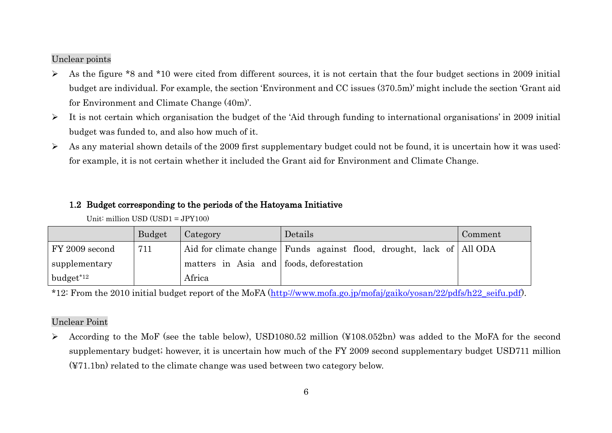#### Unclear points

- $\triangleright$  As the figure \*8 and \*10 were cited from different sources, it is not certain that the four budget sections in 2009 initial budget are individual. For example, the section "Environment and CC issues (370.5m)" might include the section "Grant aid for Environment and Climate Change (40m).
- $\triangleright$  It is not certain which organisation the budget of the 'Aid through funding to international organisations' in 2009 initial budget was funded to, and also how much of it.
- $\triangleright$  As any material shown details of the 2009 first supplementary budget could not be found, it is uncertain how it was used: for example, it is not certain whether it included the Grant aid for Environment and Climate Change.

### 1.2 Budget corresponding to the periods of the Hatoyama Initiative

|                | <b>Budget</b> | Category                                 | Details                                                                  | Comment |
|----------------|---------------|------------------------------------------|--------------------------------------------------------------------------|---------|
| FY 2009 second | 711           |                                          | Aid for climate change   Funds against flood, drought, lack of   All ODA |         |
| supplementary  |               | matters in Asia and foods, deforestation |                                                                          |         |
| $budget*12$    |               | Africa                                   |                                                                          |         |

\*12: From the 2010 initial budget report of the MoFA [\(http://www.mofa.go.jp/mofaj/gaiko/yosan/22/pdfs/h22\\_seifu.pdf\)](http://www.mofa.go.jp/mofaj/gaiko/yosan/22/pdfs/h22_seifu.pdf).

#### Unclear Point

 According to the MoF (see the table below), USD1080.52 million (¥108.052bn) was added to the MoFA for the second supplementary budget; however, it is uncertain how much of the FY 2009 second supplementary budget USD711 million (¥71.1bn) related to the climate change was used between two category below.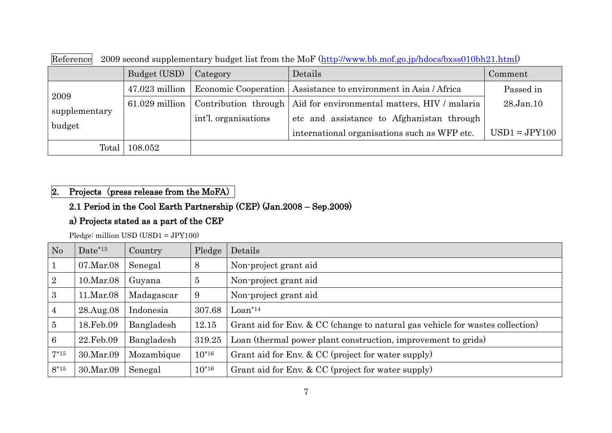| $\rightarrow$ 0.000 0.000 0.000 0.000 0.000 0.000 0.000 0.000 0.000 0.000 0.000 0.000 0.000 0.000 0.000 0.000 0.000 0.000 0.000 0.000 0.000 0.000 0.000 0.000 0.000 0.000 0.000 0.000 0.000 0.000 0.000 0.000 0.000 0.000 0.000 0.000 |                  |                                   |                                                                     |                 |  |  |
|---------------------------------------------------------------------------------------------------------------------------------------------------------------------------------------------------------------------------------------|------------------|-----------------------------------|---------------------------------------------------------------------|-----------------|--|--|
|                                                                                                                                                                                                                                       | Budget (USD)     | Category                          | Details                                                             | Comment         |  |  |
|                                                                                                                                                                                                                                       | $47.023$ million | Economic Cooperation              | Assistance to environment in Asia / Africa                          | Passed in       |  |  |
| 2009                                                                                                                                                                                                                                  | $61.029$ million |                                   | Contribution through   Aid for environmental matters, HIV / malaria | 28.Jan.10       |  |  |
| supplementary                                                                                                                                                                                                                         |                  | int <sup>'</sup> l. organisations | etc and assistance to Afghanistan through                           |                 |  |  |
| budget                                                                                                                                                                                                                                |                  |                                   | international organisations such as WFP etc.                        | $USD1 = JPY100$ |  |  |
| Total                                                                                                                                                                                                                                 | 108.052          |                                   |                                                                     |                 |  |  |

Reference 2009 second supplementary budget list from the MoF [\(http://www.bb.mof.go.jp/hdocs/bxss010bh21.html\)](http://www.bb.mof.go.jp/hdocs/bxss010bh21.html)

### 2. Projects (press release from the MoFA)

# 2.1 Period in the Cool Earth Partnership (CEP) (Jan.2008 – Sep.2009)

### a) Projects stated as a part of the CEP

Pledge: million USD (USD1 = JPY100)

| No             | $Date^{*13}$ | Country    | Pledge         | Details                                                                       |
|----------------|--------------|------------|----------------|-------------------------------------------------------------------------------|
|                | 07.Mar.08    | Senegal    | 8              | Non-project grant aid                                                         |
| $\overline{2}$ | 10.Mar.08    | Guyana     | $\overline{5}$ | Non-project grant aid                                                         |
| 3              | 11.Mar.08    | Madagascar | 9              | Non-project grant aid                                                         |
| 4              | 28.Aug.08    | Indonesia  | 307.68         | $Loan*14$                                                                     |
| $\overline{5}$ | 18.Feb.09    | Bangladesh | 12.15          | Grant aid for Env. & CC (change to natural gas vehicle for wastes collection) |
| 6              | 22.Feb.09    | Bangladesh | 319.25         | Loan (thermal power plant construction, improvement to grids)                 |
| $7*15$         | 30.Mar.09    | Mozambique | $10^{*16}$     | Grant aid for Env. & CC (project for water supply)                            |
| $8*15$         | 30.Mar.09    | Senegal    | $10^{*16}$     | Grant aid for Env. & CC (project for water supply)                            |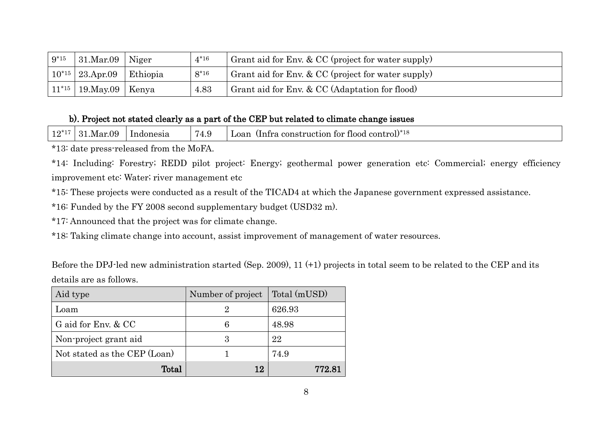| $9*15$     | $31$ .Mar.09 Niger   |          | $4*16$ | Grant aid for Env. & CC (project for water supply) |
|------------|----------------------|----------|--------|----------------------------------------------------|
| $10^{*15}$ | 23.Apr.09            | Ethiopia | $8*16$ | Grant aid for Env. & CC (project for water supply) |
| $11^{*15}$ | $19.$ May.09   Kenya |          | 4.83   | Grant aid for Env. & CC (Adaptation for flood)     |

### b). Project not stated clearly as a part of the CEP but related to climate change issues

| . へゃぇ<br><b>A</b> *<br>Mar.09.<br>1.0a <sub>r</sub><br>Indonesia<br>construction<br>tor<br>tlood<br>`tra<br>control.<br>'4.5 |  |
|------------------------------------------------------------------------------------------------------------------------------|--|
|------------------------------------------------------------------------------------------------------------------------------|--|

\*13: date press-released from the MoFA.

\*14: Including: Forestry; REDD pilot project: Energy; geothermal power generation etc: Commercial; energy efficiency improvement etc: Water; river management etc

\*15: These projects were conducted as a result of the TICAD4 at which the Japanese government expressed assistance.

\*16: Funded by the FY 2008 second supplementary budget (USD32 m).

\*17: Announced that the project was for climate change.

\*18: Taking climate change into account, assist improvement of management of water resources.

Before the DPJ-led new administration started (Sep. 2009), 11 (+1) projects in total seem to be related to the CEP and its details are as follows.

| Aid type                     | Number of project | Total (mUSD) |
|------------------------------|-------------------|--------------|
| Loam                         |                   | 626.93       |
| G aid for Env. & CC          | 6                 | 48.98        |
| Non-project grant aid        | 3                 | 22           |
| Not stated as the CEP (Loan) |                   | 74.9         |
| Total                        | 12                | 772.81       |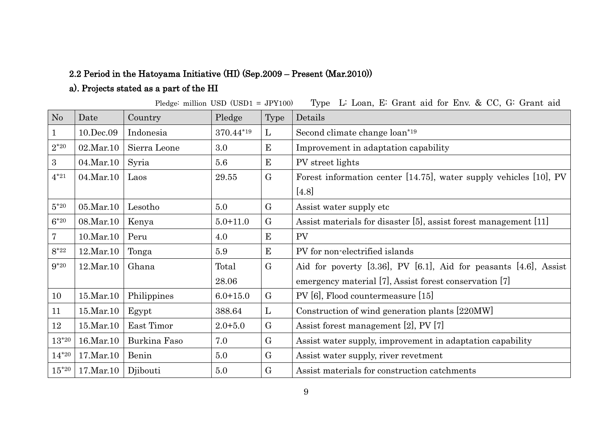# 2.2 Period in the Hatoyama Initiative (HI) (Sep.2009 – Present (Mar.2010))

# a). Projects stated as a part of the HI

Pledge: million USD (USD1 = JPY100) Type L: Loan, E: Grant aid for Env. & CC, G: Grant aid

| No           | Date             | Country      | Pledge       | <b>Type</b>  | Details                                                                   |
|--------------|------------------|--------------|--------------|--------------|---------------------------------------------------------------------------|
| $\mathbf{1}$ | 10.Dec.09        | Indonesia    | 370.44*19    | $\mathbf{L}$ | Second climate change loan*19                                             |
| $2*20$       | $02$ .Mar.10     | Sierra Leone | 3.0          | E            | Improvement in adaptation capability                                      |
| 3            | 04.Mar.10        | Syria        | 5.6          | E            | PV street lights                                                          |
| $4*21$       | 04.Mar.10        | Laos         | 29.55        | $\mathbf G$  | Forest information center [14.75], water supply vehicles [10], PV         |
|              |                  |              |              |              | $[4.8]$                                                                   |
| $5*20$       | 05.Mar.10        | Lesotho      | 5.0          | $\rm G$      | Assist water supply etc.                                                  |
| $6*20$       | 08.Mar.10        | Kenya        | $5.0 + 11.0$ | $\rm G$      | Assist materials for disaster [5], assist forest management [11]          |
| 7            | 10.Mar.10        | Peru         | 4.0          | E            | PV                                                                        |
| $8*22$       | 12.Mar.10        | Tonga        | 5.9          | E            | PV for non-electrified islands                                            |
| $9*20$       | 12.Mar.10        | Ghana        | Total        | $\mathbf G$  | Aid for poverty $[3.36]$ , PV $[6.1]$ , Aid for peasants $[4.6]$ , Assist |
|              |                  |              | 28.06        |              | emergency material [7], Assist forest conservation [7]                    |
| 10           | $15$ . Mar. $10$ | Philippines  | $6.0 + 15.0$ | $\rm G$      | PV [6], Flood countermeasure [15]                                         |
| 11           | $15$ . Mar. $10$ | Egypt        | 388.64       | L            | Construction of wind generation plants [220MW]                            |
| 12           | $15$ . Mar. $10$ | East Timor   | $2.0 + 5.0$  | G            | Assist forest management [2], PV [7]                                      |
| $13*20$      | 16.Mar.10        | Burkina Faso | 7.0          | G            | Assist water supply, improvement in adaptation capability                 |
| $14*20$      | $17.$ Mar. $10$  | Benin        | 5.0          | $\mathbf G$  | Assist water supply, river revetment                                      |
| $15^{*20}$   | $17.$ Mar. $10$  | Djibouti     | 5.0          | $\mathbf G$  | Assist materials for construction catchments                              |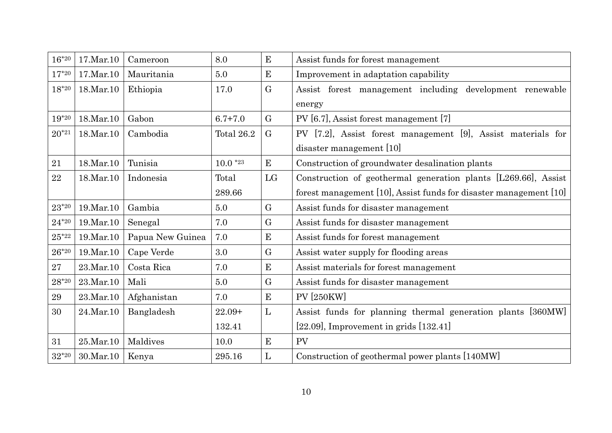| $16*20$       | 17.Mar.10   | Cameroon         | 8.0         | E            | Assist funds for forest management                                |  |
|---------------|-------------|------------------|-------------|--------------|-------------------------------------------------------------------|--|
| $17*20$       | 17.Mar.10   | Mauritania       | 5.0         | E            | Improvement in adaptation capability                              |  |
| $18*20$       | 18.Mar.10   | Ethiopia         | 17.0        | $\mathbf G$  | Assist forest management including development renewable          |  |
|               |             |                  |             |              | energy                                                            |  |
| $19*20$       | 18.Mar.10   | Gabon            | $6.7 + 7.0$ | G            | PV [6.7], Assist forest management [7]                            |  |
| $20^{*21}$    | 18.Mar.10   | Cambodia         | Total 26.2  | $\mathbf{G}$ | PV [7.2], Assist forest management [9], Assist materials for      |  |
|               |             |                  |             |              | disaster management [10]                                          |  |
| 21            | 18.Mar.10   | Tunisia          | $10.0*23$   | E            | Construction of groundwater desalination plants                   |  |
| 22            | 18.Mar.10   | Indonesia        | Total       | LG           | Construction of geothermal generation plants [L269.66], Assist    |  |
|               |             |                  | 289.66      |              | forest management [10], Assist funds for disaster management [10] |  |
| $23*20$       | 19. Mar. 10 | Gambia           | 5.0         | $\mathbf{G}$ | Assist funds for disaster management                              |  |
| $24^{\ast}20$ | 19. Mar. 10 | Senegal          | 7.0         | $\mathbf G$  | Assist funds for disaster management                              |  |
| $25*22$       | 19. Mar. 10 | Papua New Guinea | 7.0         | E            | Assist funds for forest management                                |  |
| $26*20$       | 19. Mar. 10 | Cape Verde       | 3.0         | G            | Assist water supply for flooding areas                            |  |
| 27            | 23.Mar.10   | Costa Rica       | 7.0         | E            | Assist materials for forest management                            |  |
| $28*20$       | 23. Mar. 10 | Mali             | 5.0         | $\mathbf G$  | Assist funds for disaster management                              |  |
| 29            | 23.Mar.10   | Afghanistan      | 7.0         | ${\bf E}$    | <b>PV [250KW]</b>                                                 |  |
| 30            | 24.Mar.10   | Bangladesh       | $22.09+$    | $\mathbf{L}$ | Assist funds for planning thermal generation plants [360MW]       |  |
|               |             |                  | 132.41      |              | $[22.09]$ , Improvement in grids $[132.41]$                       |  |
| 31            | 25.Mar.10   | Maldives         | 10.0        | E            | PV                                                                |  |
| $32*20$       | 30. Mar. 10 | Kenya            | 295.16      | $\mathbf{L}$ | Construction of geothermal power plants [140MW]                   |  |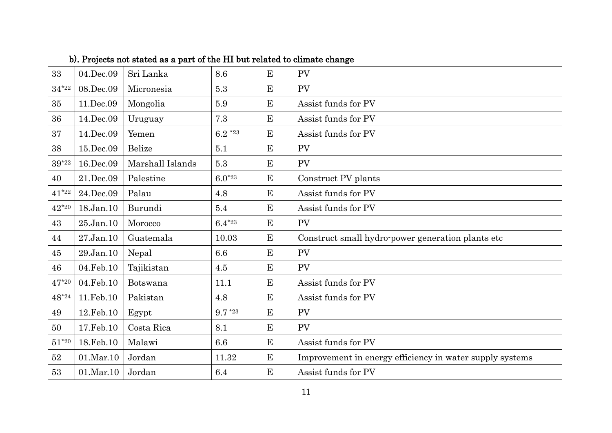| 33            | 04.Dec.09    | Sri Lanka        | 8.6         | E         | PV                                                       |
|---------------|--------------|------------------|-------------|-----------|----------------------------------------------------------|
| $34*22$       | 08.Dec.09    | Micronesia       | 5.3         | $\bf{E}$  | PV                                                       |
| 35            | 11.Dec.09    | Mongolia         | 5.9         | E         | Assist funds for PV                                      |
| 36            | 14.Dec.09    | Uruguay          | 7.3         | E         | Assist funds for PV                                      |
| 37            | 14.Dec.09    | Yemen            | $6.2*23$    | E         | Assist funds for PV                                      |
| 38            | 15.Dec.09    | Belize           | 5.1         | $\bf{E}$  | <b>PV</b>                                                |
| $39^{\ast}22$ | 16.Dec.09    | Marshall Islands | 5.3         | E         | PV                                                       |
| 40            | 21.Dec.09    | Palestine        | $6.0^{*23}$ | E         | Construct PV plants                                      |
| $41*22$       | 24.Dec.09    | Palau            | 4.8         | E         | Assist funds for PV                                      |
| $42*20$       | 18.Jan.10    | Burundi          | 5.4         | E         | Assist funds for PV                                      |
| 43            | $25$ .Jan.10 | Morocco          | $6.4*^{23}$ | $\bf{E}$  | PV                                                       |
| 44            | $27$ .Jan.10 | Guatemala        | 10.03       | E         | Construct small hydro-power generation plants etc.       |
| 45            | 29.Jan.10    | Nepal            | 6.6         | E         | PV                                                       |
| 46            | 04.Feb.10    | Tajikistan       | 4.5         | E         | PV                                                       |
| $47*20$       | 04.Feb.10    | Botswana         | 11.1        | $\bf{E}$  | Assist funds for PV                                      |
| $48*24$       | 11. Feb. 10  | Pakistan         | 4.8         | E         | Assist funds for PV                                      |
| 49            | 12. Feb. 10  | Egypt            | $9.7*23$    | E         | <b>PV</b>                                                |
| 50            | 17.Feb.10    | Costa Rica       | 8.1         | $\bf E$   | PV                                                       |
| $51*20$       | 18.Feb.10    | Malawi           | 6.6         | E         | Assist funds for PV                                      |
| 52            | 01.Mar.10    | Jordan           | 11.32       | E         | Improvement in energy efficiency in water supply systems |
| 53            | $01$ .Mar.10 | Jordan           | 6.4         | ${\bf E}$ | Assist funds for PV                                      |

b). Projects not stated as a part of the HI but related to climate change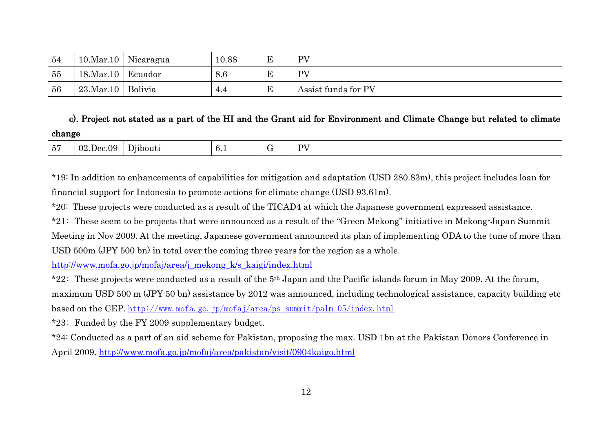| 54 | $10$ .Mar.10     | Nicaragua            | 10.88 | E          | PV                  |
|----|------------------|----------------------|-------|------------|---------------------|
| 55 | $18$ . Mar. $10$ | Ecuador              | 8.6   | E          | PV                  |
| 56 | $23$ .Mar.10     | <sup>'</sup> Bolivia | 4.4   | $_{\rm E}$ | Assist funds for PV |

# c). Project not stated as a part of the HI and the Grant aid for Environment and Climate Change but related to climate change

| $\sim$ $-$<br>ັ | ec.09<br>-02<br>Dec.<br>. . | Djibouti | $\sim$<br>O. 1 | ◡ | DV<br>- |
|-----------------|-----------------------------|----------|----------------|---|---------|
|-----------------|-----------------------------|----------|----------------|---|---------|

\*19: In addition to enhancements of capabilities for mitigation and adaptation (USD 280.83m), this project includes loan for financial support for Indonesia to promote actions for climate change (USD 93.61m).

\*20: These projects were conducted as a result of the TICAD4 at which the Japanese government expressed assistance.

\*21: These seem to be projects that were announced as a result of the "Green Mekong" initiative in Mekong-Japan Summit

Meeting in Nov 2009. At the meeting, Japanese government announced its plan of implementing ODA to the tune of more than USD 500m (JPY 500 bn) in total over the coming three years for the region as a whole.

[http://www.mofa.go.jp/mofaj/area/j\\_mekong\\_k/s\\_kaigi/index.html](http://www.mofa.go.jp/mofaj/area/j_mekong_k/s_kaigi/index.html)

\*22: These projects were conducted as a result of the 5th Japan and the Pacific islands forum in May 2009. At the forum,

maximum USD 500 m (JPY 50 bn) assistance by 2012 was announced, including technological assistance, capacity building etc based on the CEP. [http://www.mofa.go.jp/mofaj/area/ps\\_summit/palm\\_05/index.html](http://www.mofa.go.jp/mofaj/area/ps_summit/palm_05/index.html)

\*23: Funded by the FY 2009 supplementary budget.

\*24: Conducted as a part of an aid scheme for Pakistan, proposing the max. USD 1bn at the Pakistan Donors Conference in April 2009. <http://www.mofa.go.jp/mofaj/area/pakistan/visit/0904kaigo.html>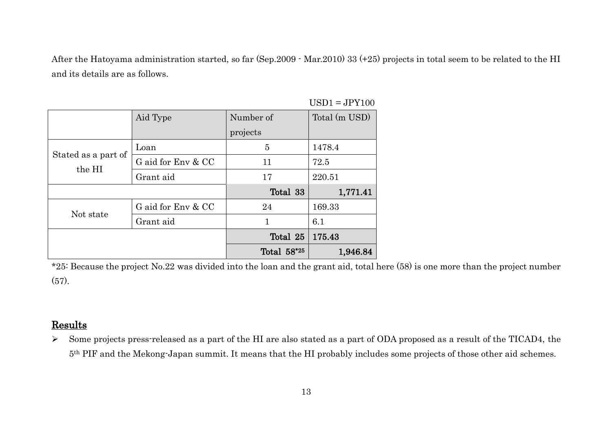After the Hatoyama administration started, so far (Sep.2009 - Mar.2010) 33 (+25) projects in total seem to be related to the HI and its details are as follows.

|                               | Aid Type           | Number of   | Total (m USD) |
|-------------------------------|--------------------|-------------|---------------|
|                               |                    | projects    |               |
|                               | Loan               | 5           | 1478.4        |
| Stated as a part of<br>the HI | G aid for Env & CC | 11          | 72.5          |
|                               | Grant aid          | 17          | 220.51        |
|                               |                    | Total 33    | 1,771.41      |
| Not state                     | G aid for Env & CC | 24          | 169.33        |
|                               | Grant aid          |             | 6.1           |
|                               |                    | Total 25    | 175.43        |
|                               |                    | Total 58*25 | 1,946.84      |

 $USD1 = JPY100$ 

\*25: Because the project No.22 was divided into the loan and the grant aid, total here (58) is one more than the project number (57).

### Results

 $\triangleright$  Some projects press-released as a part of the HI are also stated as a part of ODA proposed as a result of the TICAD4, the 5th PIF and the Mekong-Japan summit. It means that the HI probably includes some projects of those other aid schemes.